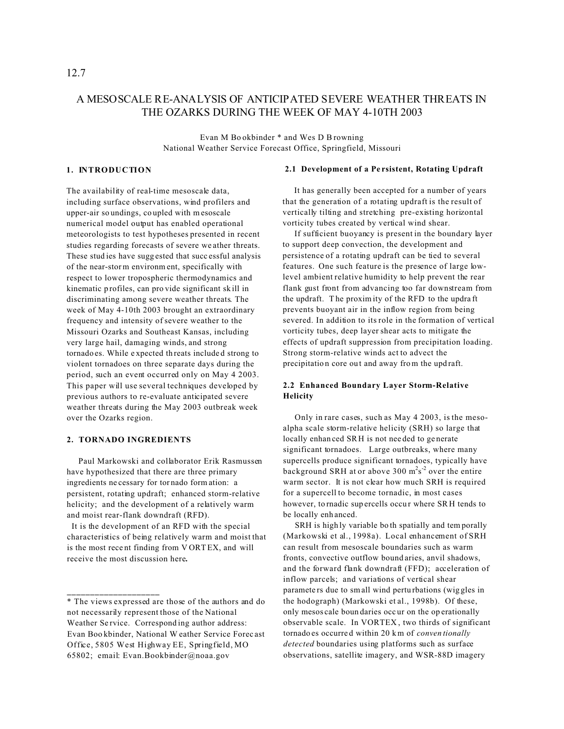# A MESOSCALE RE-ANALYSIS OF ANTICIPATED SEVERE WEATHER THREATS IN THE OZARKS DURING THE WEEK OF MAY 4-10TH 2003

Evan M Bo okbinder \* and Wes D B rowning National Weather Service Forecast Office, Springfield, Missouri

#### **1. INTRODUCTION**

The availability of real-time mesoscale data, including surface observations, wind profilers and upper-air so undings, co upled with mesoscale numerical model output has enabled operational meteorologists to test hypotheses presented in recent studies regarding forecasts of severe we ather threats. These stud ies have sugg ested that succ essful analysis of the near-storm environm ent, specifically with respect to lower tropospheric thermodynamics and kinematic p rofiles, can pro vide significant sk ill in discriminating among severe weather threats. The week of May 4-10th 2003 brought an extraordinary frequency and intensity of severe weather to the Missouri Ozarks and Southeast Kansas, including very large hail, damaging winds, and strong tornado es. While e xpected th reats include d strong to violent tornadoes on three separate days during the period, such an event occurred only on May 4 2003. This paper will use several techniques developed by previous authors to re-evaluate anticipated severe weather threats during the May 2003 outbreak week over the Ozarks region.

#### **2. TORNADO INGREDIENTS**

**\_\_\_\_\_\_\_\_\_\_\_\_\_\_\_\_\_\_\_\_**

 Paul Markowski and collaborator Erik Rasmussen have hypothesized that there are three primary ingredients ne cessary for tor nado form ation: a persistent, rotating updraft; enhanced storm-relative helicity; and the development of a relatively warm and moist rear-flank downdraft (RFD).

 It is the development of an RFD with the special characteristics of being relatively warm and moist that is the most rece nt finding from V ORT EX, and will receive the most discussion here**.**

#### **2.1 Development of a Pe rsistent, Rotating Updraft**

It has generally been accepted for a number of years that the generation of a rotating updraft is the result of vertically tilting and stretching pre-existing horizontal vorticity tubes created by vertical wind shear.

 If sufficient buoyancy is present in the boundary layer to support deep convection, the development and persistence of a rotating updraft can be tied to several features. One such feature is the presence of large lowlevel ambient relative humidity to help prevent the rear flank gust front from advancing too far downstream from the updraft. T he proxim ity of the RFD to the updra ft prevents buoyant air in the inflow region from being severed. In addition to its role in the formation of vertical vorticity tubes, deep layer shear acts to mitigate the effects of updraft suppression from precipitation loading. Strong storm-relative winds act to advect the precipitation core out and away from the upd raft.

# **2.2 Enhanced Boundary Layer Storm-Relative Helicity**

 Only in rare cases, such as May 4 2003, is the mesoalpha scale storm-relative helicity (SRH) so large that locally enhan ced SR H is not nee ded to ge nerate significant tornadoes. Large outbreaks, where many supercells produce significant tornadoes, typically have background SRH at or above 300 m<sup>2</sup>s<sup>-2</sup> over the entire warm sector. It is not clear how much SRH is required for a supercell to become tornadic, in most cases however, to rnadic supercells occur where SRH tends to be locally enh anced.

SRH is highly variable bo th spatially and temporally (Markowski et al., 1998a). Local enhancement of SRH can result from mesoscale boundaries such as warm fronts, convective outflow bound aries, anvil shadows, and the forward flank downdraft (FFD); acceleration of inflow parcels; and variations of vertical shear paramete rs due to small wind pertu rbations (wig gles in the hodograph) (Markowski et al., 1998b). Of these, only mesos cale boun daries occ ur on the op erationally observable scale. In VORTEX , two thirds of significant tornado es occurre d within 20 km of *conven tionally detected* boundaries using platforms such as surface observations, satellite imagery, and WSR-88D imagery

12.7

<sup>\*</sup> The views expressed are those of the authors and do not necessarily represent those of the National Weather Service. Corresponding author address: Evan Boo kbinder, National W eather Service Forec ast Office, 5805 West Highway EE, Springfield, MO 65802; email: Evan.Bookbinder@noaa.gov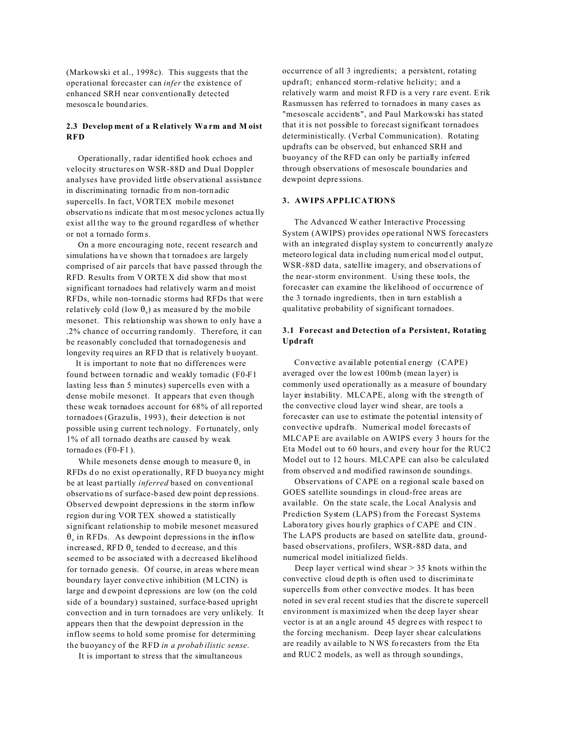(Markowski et al., 1998c). This suggests that the operational forecaster can *infer* the existence of enhanced SRH near conventionally detected mesosca le bound aries.

#### **2.3 Develop ment of a R elatively Wa rm and M oist RFD**

 Operationally, radar identified hook echoes and velocity structures on WSR-88D and Dual Doppler analyses have provided little observational assistance in discriminating tornadic from non-torn adic supercells. In fact, VORTEX mobile mesonet observatio ns indicate that m ost mesoc yclones actua lly exist all the way to the ground regardless of whether or not a tornado form s.

 On a more encouraging note, recent research and simulations have shown that tornadoes are largely comprised of air parcels that have passed through the RFD. Results from V ORTE X did show that mo st significant tornadoes had relatively warm an d moist RFDs, while non-tornadic storms had RFDs that were relatively cold (low  $\theta_{\rm v}$ ) as measured by the mobile mesonet. This relationship was shown to only have a .2% chance of occurring randomly. Therefore, it can be reasonably concluded that tornadogenesis and longevity requires an RFD that is relatively buoyant.

 It is important to note that no differences were found between tornadic and weakly tomadic (F0-F1 lasting less than 5 minutes) supercells even with a dense mobile mesonet. It appears that even though these weak tornadoes account for 68% of all reported tornadoes (Grazulis, 1993), their detection is not possible usin g current tech nology. Fo rtunately, only 1% of all tornado deaths are caused by weak tornado es (F0-F1 ).

While mesonets dense enough to measure  $\theta_{\rm v}$  in RFDs do no exist op erationally, RFD buoyancy might be at least pa rtially *inferred* based on conventional observatio ns of surface-b ased dew point dep ressions. Observed dewpoint depressions in the storm inflow region during VOR TEX showed a statistically significant relationship to mobile mesonet measured  $\theta_{\rm v}$  in RFDs. As dewpoint depressions in the inflow increased, RFD  $\theta$ <sub>v</sub> tended to decrease, and this seemed to be associated with a decreased likelihood for tornado genesis. Of course, in areas where mean bounda ry layer conve ctive inhibition (M LCIN) is large and dewpoint depressions are low (on the cold side of a boundary) sustained, surface-based upright convection and in turn tornadoes are very unlikely. It appears then that the dewpoint depression in the inflow seems to hold some promise for determining the buoyancy of the RFD *in a probab ilistic sense*.

It is important to stress that the simultaneous

occurrence of all 3 ingredients; a persistent, rotating updraft; enhanced storm-relative helicity; and a relatively warm and moist RFD is a very r are event. Erik Rasmussen has referred to tornadoes in many cases as "mesoscale accidents", and Paul Markowski has stated that it is not possible to forecast significant tornadoes deterministically. (Verbal Communication). Rotating updrafts can be observed, but enhanced SRH and buoyancy of the RFD can only be partially inferred through observations of mesoscale boundaries and dewpoint depre ssions.

#### **3. AWIPS APPLICATIONS**

 The Advanced W eather Interactive Processing System (AWIPS) provides ope rational NWS forecasters with an integrated display system to concurrently analyze meteoro logical data in cluding num erical mod el output, WSR-88D data, satellite imagery, and observations of the near-storm environment. Using these tools, the forecaster can examine the likelihood of occurrence of the 3 tornado ingredients, then in turn establish a qualitative probability of significant tornadoes.

### **3.1 Forecast and Detection of a Persistent, Rotating Updraft**

 Convective available potential energy (CAPE) averaged over the low est 100mb (mean la yer) is commonly used operationally as a measure of boundary layer instability. MLCAPE, along with the strength of the convective cloud layer wind shear, are tools a forecaster can use to estimate the potential intensity of convective updrafts. Numerical model forecasts of MLCAP E are available on AWIPS every 3 hours for the Eta Model out to 60 hours, and every hour for the RUC2 Model out to 12 hours. MLCAPE can also be calculated from observed a nd modified rawinson de soundings.

 Observations of CAPE on a regional scale based on GOES satellite soundings in cloud-free areas are available. On the state scale, the Local Analysis and Prediction System (LAPS) from the Forecast Systems Laboratory gives hourly graphics of CAPE and CIN. The LAPS products are based on satellite data, groundbased observations, profilers, WSR-88D data, and numerical model initialized fields.

 Deep layer vertical wind shear > 35 knots within the convective cloud de pth is often used to discrimina te supercells from other convective modes. It has been noted in sev eral recent stud ies that the discre te supercell environment is maximized when the deep layer shear vector is at an a ngle around 45 degre es with respec t to the forcing mechanism. Deep layer shear calculations are readily av ailable to NWS fo recasters from the Eta and RUC2 models, as well as through so undings,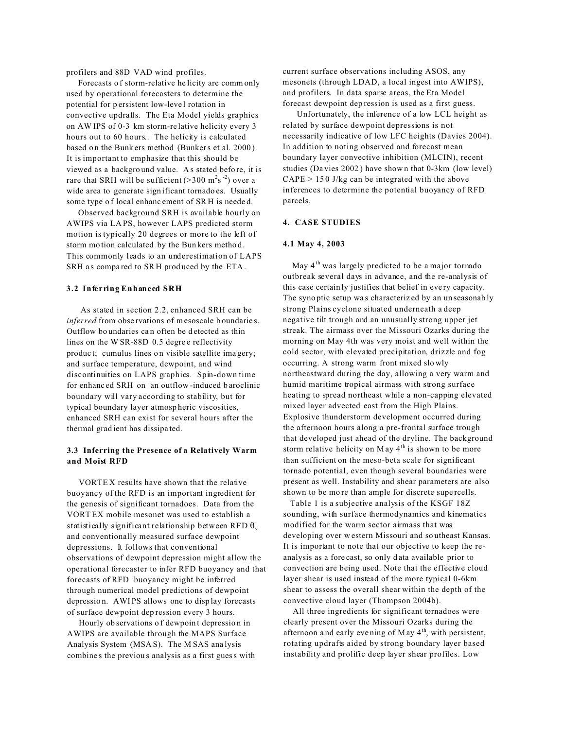profilers and 88D VAD wind profiles.

 Forecasts o f storm-relative he licity are comm only used by operational forecasters to determine the potential for p ersistent low-leve l rotation in convective updrafts. The Eta Model yields graphics on AW IPS of 0-3 km storm-re lative helicity every 3 hours out to 60 hours.. The helicity is calculated based on the Bunk ers method (Bunkers et al. 2000). It is important to emphasize that this should be viewed as a backgro und value. A s stated befo re, it is rare that SRH will be sufficient ( $>$ 300 m<sup>2</sup>s<sup>-2</sup>) over a wide area to generate sign ificant tornado es. Usually some type o f local enhanc ement of SR H is neede d.

 Observed background SRH is available hourly on AWIPS via LA PS, however LAPS predicted storm motion is typically 20 degrees or more to the left of storm mo tion calculated by the Bun kers metho d. This commonly leads to an underestimation of LAPS SRH as compared to SRH produced by the ETA.

#### **3.2 Inferring Enhanced SRH**

 As stated in section 2.2, enhanced SRH can be *inferred* from observations of mesoscale b oundaries. Outflow bo undaries ca n often be d etected as thin lines on the W SR-88D 0.5 degree reflectivity product; cumulus lines on visible satellite imagery; and surface temperature, dewpoint, and wind discontinuities on LAPS graphics. Spin-down time for enhanc ed SRH on an outflow -induced b aroclinic boundary will vary according to stability, but for typical boundary layer atmosp heric viscosities, enhanced SRH can exist for several hours after the thermal grad ient has dissipa ted.

### **3.3 Inferring the Presence of a Relatively Warm and Moist RFD**

 VORTE X results have shown that the relative buoyancy of the RFD is an important ingredient for the genesis of significant tornadoes. Data from the VORT EX mobile mesonet was used to establish a statistically significant relationship between RFD  $\theta_{\rm v}$ and conventionally measured surface dewpoint depressions. It follows that conventional observations of dewpoint depression might allow the operational forecaster to infer RFD buoyancy and that forecasts of RFD buoyancy might be inferred through numerical model predictions of dewpoint depressio n. AWI PS allows one to disp lay forecasts of surface dewpoint dep ression every 3 hours.

Hourly ob servations of dewpoint depression in AWIPS are available through the MAPS Surface Analysis System (MSA S). The M SAS ana lysis combine s the previou s analysis as a first guess with current surface observations including ASOS, any mesonets (through LDAD, a local ingest into AWIPS), and profilers. In data sparse areas, the Eta Model forecast dewpoint dep ression is used as a first guess.

 Unfortunately, the inference of a low LCL height as related by surface dewpoint depressions is not necessarily indicative of low LFC heights (Davies 2004). In addition to noting observed and forecast mean boundary layer convective inhibition (MLCIN), recent studies (Da vies 2002 ) have show n that 0-3km (low level)  $CAPE > 150$  J/kg can be integrated with the above inferences to determine the potential buoyancy of RFD parcels.

### **4. CASE STUDIES**

#### **4.1 May 4, 2003**

May  $4<sup>th</sup>$  was largely predicted to be a major tornado outbreak several days in advance, and the re-analysis of this case certain ly justifies that belief in eve ry capacity. The syno ptic setup wa s characteriz ed by an un seasonab ly strong Plains cyclone situated underneath a deep negative tilt trough and an unusually strong upper jet streak. The airmass over the Missouri Ozarks during the morning on May 4th was very moist and well within the cold sector, with elevated precipitation, drizzle and fog occurring. A strong warm front mixed slo wly northeastward during the day, allowing a very warm and humid maritime tropical airmass with strong surface heating to spread northeast while a non-capping elevated mixed layer advected east from the High Plains. Explosive thunderstorm development occurred during the afternoon hours along a pre-frontal surface trough that developed just ahead of the dryline. The background storm relative helicity on May  $4<sup>th</sup>$  is shown to be more than sufficient on the meso-beta scale for significant tornado potential, even though several boundaries were present as well. Instability and shear parameters are also shown to be mo re than ample for discrete supe rcells.

 Table 1 is a subjective analysis of the KSGF 18Z sounding, with surface thermodynamics and kinematics modified for the warm sector airmass that was developing over w estern Missouri and so utheast Kansas. It is important to note that our objective to keep the reanalysis as a fore cast, so only d ata available prior to convection are being used. Note that the effective cloud layer shear is used instead of the more typical 0-6km shear to assess the overall shear within the depth of the convective cloud layer (Thompson 2004b).

 All three ingredients for significant tornadoes were clearly present over the Missouri Ozarks during the afternoon and early evening of May  $4<sup>th</sup>$ , with persistent, rotating updrafts aided by strong boundary layer based instability and prolific deep layer shear profiles. Low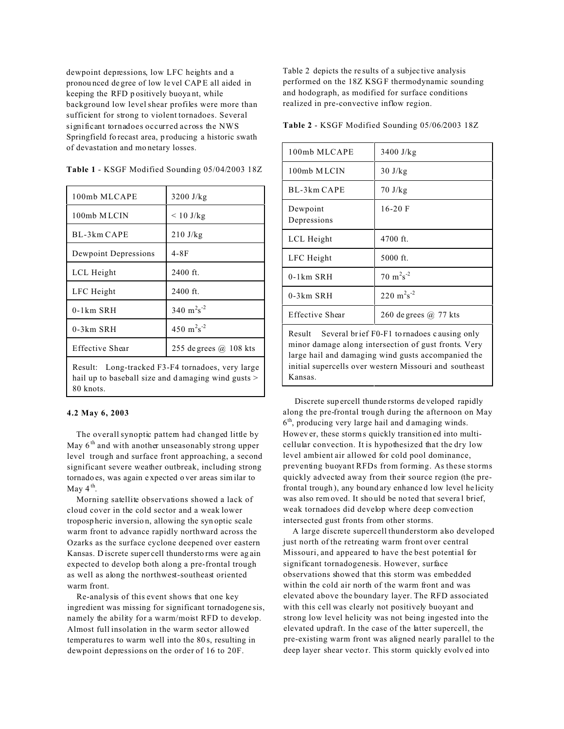dewpoint depressions, low LFC heights and a pronou nced de gree of low le vel CAP E all aided in keeping the RFD p ositively buoya nt, while background low level shear profiles were more than sufficient for strong to violent tornadoes. Several significant tornadoes occurred across the NWS Springfield fo recast area, p roducing a historic swath of devastation and mo netary losses.

| 100mb MLCAPE                                        | $3200$ J/kg                        |
|-----------------------------------------------------|------------------------------------|
| 100mb MLCIN                                         | $< 10$ J/kg                        |
| BL-3km CAPE                                         | $210$ J/kg                         |
| Dewpoint Depressions                                | $4-8F$                             |
| LCL Height                                          | $2400$ ft.                         |
| LFC Height                                          | $2400$ ft.                         |
| $0-1km$ SRH                                         | 340 $m^2s^{-2}$                    |
| $0-3km$ SRH                                         | 450 m <sup>2</sup> s <sup>-2</sup> |
| Effective Shear                                     | 255 de grees @ 108 kts             |
| Long-tracked F3-F4 tornadoes, very large<br>Result: |                                    |

**Table 1** - KSGF Modified Sounding 05/04/2003 18Z

hail up to baseball size and damaging wind gusts > 80 knots.

#### **4.2 May 6, 2003**

 The overall synoptic pattern had changed little by May  $6<sup>th</sup>$  and with another unseasonably strong upper level trough and surface front approaching, a second significant severe weather outbreak, including strong tornado es, was again e xpected o ver areas similar to May  $4^{\text{th}}$ .

 Morning satellite observations showed a lack of cloud cover in the cold sector and a weak lower troposp heric inversio n, allowing the syn optic scale warm front to advance rapidly northward across the Ozarks as the surface cyclone deepened over eastern Kansas. D iscrete super cell thundersto rms were ag ain expected to develop both along a pre-frontal trough as well as along the northwest-southeast oriented warm front.

 Re-analysis of this event shows that one key ingredient was missing for significant tornadogene sis, namely the ability for a warm/moist RFD to develop. Almost full insolation in the warm sector allowed temperatu res to warm well into the 80 s, resulting in dewpoint depressions on the order of 16 to 20F.

Table 2 depicts the re sults of a subjec tive analysis performed on the 18Z KSG F thermodynamic sounding and hodograph, as modified for surface conditions realized in pre-convective inflow region.

**Table 2** - KSGF Modified Sounding 05/06/2003 18Z

| 100mb MLCAPE                                                                                              | $3400$ J/kg                    |  |
|-----------------------------------------------------------------------------------------------------------|--------------------------------|--|
| 100mb MLCIN                                                                                               | $30 \text{ J/kg}$              |  |
| BL-3km CAPE                                                                                               | $70 \text{ J/kg}$              |  |
| Dewpoint<br>Depressions                                                                                   | $16-20$ F                      |  |
| LCL Height                                                                                                | 4700 ft.                       |  |
| LFC Height                                                                                                | 5000 ft.                       |  |
| $0-1km$ SRH                                                                                               | $70 \text{ m}^2\text{s}^{-2}$  |  |
| $0-3km$ SRH                                                                                               | $220 \text{ m}^2\text{s}^{-2}$ |  |
| Effective Shear                                                                                           | 260 de grees @ 77 kts          |  |
| Result Several brief F0-F1 to rnadoes causing only<br>minor demage along intersection of quot fronta Mary |                                |  |

minor damage along intersection of gust fronts. Very large hail and damaging wind gusts accompanied the initial supercells over western Missouri and southeast Kansas.

 Discrete sup ercell thunde rstorms de veloped rapidly along the pre-frontal trough during the afternoon on May 6 th, producing very large hail and d amaging winds. Howev er, these storms quickly transition ed into multicellular convection. It is hypothesized that the dry low level ambient air allowed for cold pool dominance, preventing buoyant RFDs from forming. As these storms quickly advected away from their source region (the prefrontal trough ), any bound ary enhance d low level he licity was also rem oved. It sho uld be no ted that severa l brief, weak tornadoes did develop where deep convection intersected gust fronts from other storms.

 A large discrete supercell thunderstorm also developed just north of the retreating warm front over central Missouri, and appeared to have the best potential for significant tornadogenesis. However, surface observations showed that this storm was embedded within the cold air north of the warm front and was elevated above the boundary layer. The RFD associated with this cell was clearly not positively buoyant and strong low level helicity was not being ingested into the elevated updraft. In the case of the latter supercell, the pre-existing warm front was aligned nearly parallel to the deep layer shear vecto r. This storm quickly evolv ed into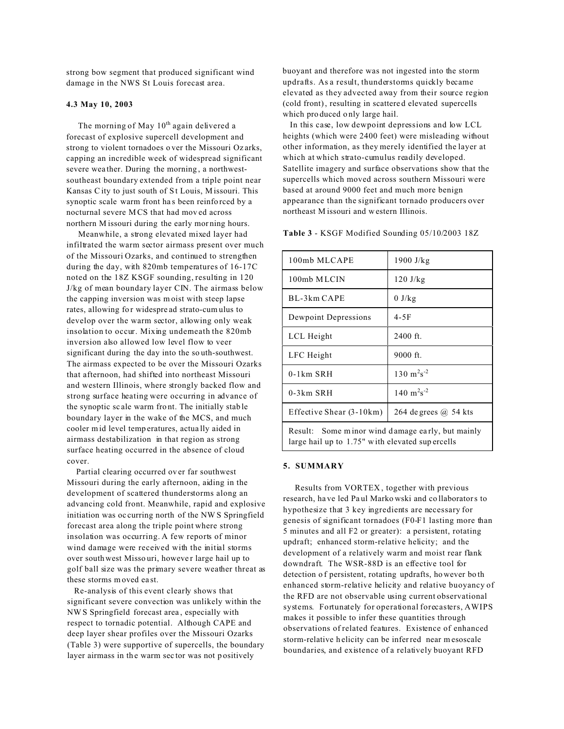strong bow segment that produced significant wind damage in the NWS St Louis forecast area.

#### **4.3 May 10, 2003**

The morning of May  $10^{th}$  again delivered a forecast of explosive supercell development and strong to violent tornadoes o ver the Missouri Oz arks, capping an incredible week of widespread significant severe wea ther. During the morning , a northwestsoutheast boundary extended from a triple point near Kansas City to just south of St Louis, Missouri. This synoptic scale warm front ha s been reinfo rced by a nocturnal severe M CS that had mov ed across northern M issouri during the early mor ning hours.

 Meanwhile, a strong elevated mixed layer had infiltrated the warm sector airmass present over much of the Missouri Ozarks, and continued to strengthen during the day, with 820mb temperatures of 16-17C noted on the 18Z KSGF sounding, resulting in 120 J/kg of mean boundary layer CIN. The airmass below the capping inversion was m oist with steep lapse rates, allowing for widespread strato-cum ulus to develop over the warm sector, allowing only weak insolation to occur. Mixing underneath the 820mb inversion also allowed low level flow to veer significant during the day into the so uth-southwest. The airmass expected to be over the Missouri Ozarks that afternoon, had shifted into northeast Missouri and western Illinois, where strongly backed flow and strong surface heating were occurring in advance of the synoptic sc ale warm fro nt. The initially stab le boundary layer in the wake of the MCS, and much cooler mid level temp eratures, actua lly aided in airmass destabilization in that region as strong surface heating occurred in the absence of cloud cover.

 Partial clearing occurred ov er far southwest Missouri during the early afternoon, aiding in the development of scattered thunderstorms along an advancing cold front. Meanwhile, rapid and explosive initiation was oc curring north of the NW S Springfield forecast area along the triple point where strong insolation was occurring. A few reports of minor wind damage were received with the initial storms over south west Misso uri, however large hail up to golf ball size was the primary severe weather threat as these storms m oved ea st.

 Re-analysis of this event clearly shows that significant severe convection was unlikely within the NWS Springfield forecast area , especially with respect to tornadic potential. Although CAPE and deep layer shear profiles over the Missouri Ozarks (Table 3) were supportive of supercells, the boundary layer airmass in the warm sector was not positively

buoyant and therefore was not ingested into the storm updrafts. As a result, thunderstorms quickly became elevated as they advected away from their source region (cold front), resulting in scattere d elevated supercells which pro duced o nly large hail.

 In this case, low dewpoint depressions and low LCL heights (which were 2400 feet) were misleading without other information, as they merely identified the layer at which at which strato-cumulus readily developed. Satellite imagery and surface observations show that the supercells which moved across southern Missouri were based at around 9000 feet and much more benign appearance than the significant tornado producers over northeast M issouri and w estern Illinois.

**Table 3** - KSGF Modified Sounding 05/10/2003 18Z

| 100mb MLCAPE                                     | $1900$ J/ $kg$                     |
|--------------------------------------------------|------------------------------------|
| 100mb MLCIN                                      | $120$ J/kg                         |
| BL-3km CAPE                                      | $0$ J/kg                           |
| Dewpoint Depressions                             | $4-5F$                             |
| LCL Height                                       | $2400$ ft.                         |
| LFC Height                                       | $9000$ ft.                         |
| $0-1km$ SRH                                      | 130 m <sup>2</sup> s <sup>-2</sup> |
| $0-3km$ SRH                                      | $140 \text{ m}^2\text{s}^{-2}$     |
| Effective Shear (3-10km)                         | 264 de grees $(a)$ 54 kts          |
| Result: Some minor wind damage early, but mainly |                                    |

large hail up to 1.75" w ith elevated sup ercells

## **5. SUMMARY**

 Results from VORTEX , together with previous research, ha ve led Pa ul Marko wski and co llaborators to hypothesize that 3 key ingredients are necessary for genesis of significant tornadoes (F0-F1 lasting more than 5 minutes and all F2 or greater): a persistent, rotating updraft; enhanced storm-relative helicity; and the development of a relatively warm and moist rear flank downdraft. The WSR-88D is an effective tool for detection o f persistent, rotating updrafts, ho wever bo th enhanced storm-relative helicity and relative buoyancy of the RFD are not observable using current observational systems. Fortunately for operational forecasters, AWIPS makes it possible to infer these quantities through observations of related features. Existence of enhanced storm-relative h elicity can be inferred near mesoscale boundaries, and existence of a relatively buoyant RFD